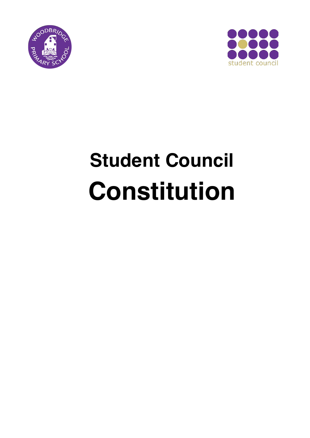



# **Student Council Constitution**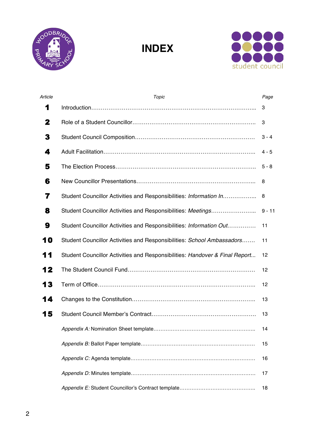

**INDEX**



| Article | Topic                                                                       | Page     |
|---------|-----------------------------------------------------------------------------|----------|
| 1       |                                                                             | 3        |
| 2       |                                                                             | 3        |
| 3       |                                                                             | $3 - 4$  |
| 4       |                                                                             | $4 - 5$  |
| 5       |                                                                             | $5 - 8$  |
| 6       |                                                                             | 8        |
| 7       | Student Councillor Activities and Responsibilities: Information In          | 8        |
| 8       | Student Councillor Activities and Responsibilities: Meetings                | $9 - 11$ |
| 9       | Student Councillor Activities and Responsibilities: Information Out         | 11       |
| 10      | Student Councillor Activities and Responsibilities: School Ambassadors      | 11       |
| 11      | Student Councillor Activities and Responsibilities: Handover & Final Report | 12       |
| 12      |                                                                             | 12       |
| 13      |                                                                             | 12       |
| 14      |                                                                             | 13       |
| 15      |                                                                             | 13       |
|         |                                                                             | 14       |
|         |                                                                             | 15       |
|         |                                                                             | 16       |
|         |                                                                             | 17       |
|         |                                                                             | 18       |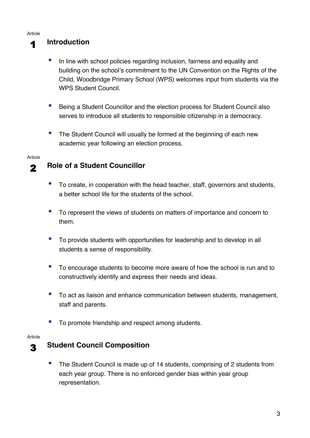### 1 **Introduction**

- In line with school policies regarding inclusion, fairness and equality and building on the school's commitment to the UN Convention on the Rights of the Child, Woodbridge Primary School (WPS) welcomes input from students via the WPS Student Council.
- Being a Student Councillor and the election process for Student Council also serves to introduce all students to responsible citizenship in a democracy.
- The Student Council will usually be formed at the beginning of each new academic year following an election process.

#### Article

### 2 **Role of a Student Councillor**

- To create, in cooperation with the head teacher, staff, governors and students, a better school life for the students of the school.
- To represent the views of students on matters of importance and concern to them.
- To provide students with opportunities for leadership and to develop in all students a sense of responsibility.
- To encourage students to become more aware of how the school is run and to constructively identify and express their needs and ideas.
- To act as liaison and enhance communication between students, management, staff and parents.
- To promote friendship and respect among students.

#### Article

### 3 **Student Council Composition**

• The Student Council is made up of 14 students, comprising of 2 students from each year group. There is no enforced gender bias within year group representation.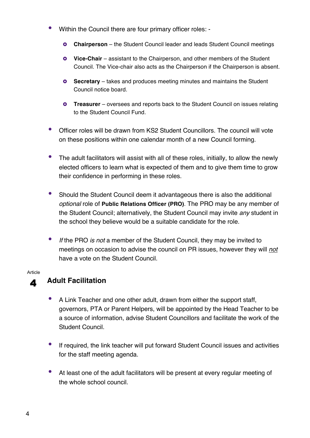- Within the Council there are four primary officer roles:
	- **Chairperson** the Student Council leader and leads Student Council meetings
	- **Vice-Chair** assistant to the Chairperson, and other members of the Student Council. The Vice-chair also acts as the Chairperson if the Chairperson is absent.
	- **Secretary** takes and produces meeting minutes and maintains the Student Council notice board.
	- **O** Treasurer oversees and reports back to the Student Council on issues relating to the Student Council Fund.
- Officer roles will be drawn from KS2 Student Councillors. The council will vote on these positions within one calendar month of a new Council forming.
- The adult facilitators will assist with all of these roles, initially, to allow the newly elected officers to learn what is expected of them and to give them time to grow their confidence in performing in these roles.
- Should the Student Council deem it advantageous there is also the additional *optional* role of **Public Relations Officer (PRO)**. The PRO may be any member of the Student Council; alternatively, the Student Council may invite *any* student in the school they believe would be a suitable candidate for the role.
- *If* the PRO *is not* a member of the Student Council, they may be invited to meetings on occasion to advise the council on PR issues, however they will *not* have a vote on the Student Council.

### 4 **Adult Facilitation**

- A Link Teacher and one other adult, drawn from either the support staff, governors, PTA or Parent Helpers, will be appointed by the Head Teacher to be a source of information, advise Student Councillors and facilitate the work of the Student Council.
- If required, the link teacher will put forward Student Council issues and activities for the staff meeting agenda.
- At least one of the adult facilitators will be present at every regular meeting of the whole school council.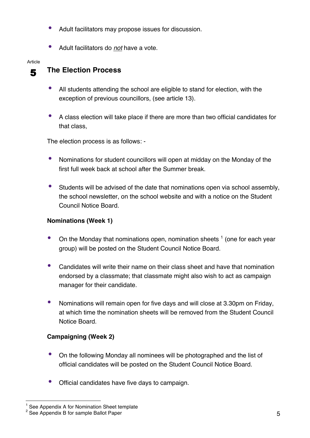- Adult facilitators may propose issues for discussion.
- Adult facilitators do *not* have a vote.

### 5 **The Election Process**

- All students attending the school are eligible to stand for election, with the exception of previous councillors, (see article 13).
- A class election will take place if there are more than two official candidates for that class,

The election process is as follows: -

- Nominations for student councillors will open at midday on the Monday of the first full week back at school after the Summer break.
- Students will be advised of the date that nominations open via school assembly, the school newsletter, on the school website and with a notice on the Student Council Notice Board.

#### **Nominations (Week 1)**

- On the Monday that nominations open, nomination sheets  $<sup>1</sup>$  (one for each year</sup> group) will be posted on the Student Council Notice Board.
- Candidates will write their name on their class sheet and have that nomination endorsed by a classmate; that classmate might also wish to act as campaign manager for their candidate.
- Nominations will remain open for five days and will close at 3.30pm on Friday, at which time the nomination sheets will be removed from the Student Council Notice Board.

#### **Campaigning (Week 2)**

- On the following Monday all nominees will be photographed and the list of official candidates will be posted on the Student Council Notice Board.
- Official candidates have five days to campaign.

See Appendix A for Nomination Sheet template

<sup>&</sup>lt;sup>2</sup> See Appendix B for sample Ballot Paper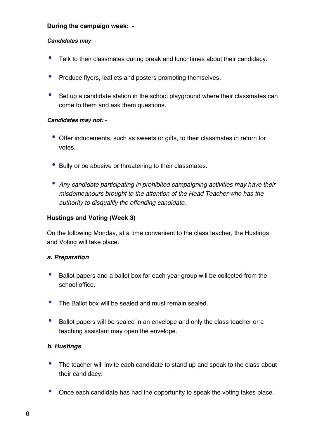#### **During the campaign week: -**

#### *Candidates may: -*

- Talk to their classmates during break and lunchtimes about their candidacy.
- Produce flyers, leaflets and posters promoting themselves.
- Set up a candidate station in the school playground where their classmates can come to them and ask them questions.

#### *Candidates may not: -*

- Offer inducements, such as sweets or gifts, to their classmates in return for votes.
- Bully or be abusive or threatening to their classmates.
- *Any candidate participating in prohibited campaigning activities may have their misdemeanours brought to the attention of the Head Teacher who has the authority to disqualify the offending candidate.*

#### **Hustings and Voting (Week 3)**

On the following Monday, at a time convenient to the class teacher, the Hustings and Voting will take place.

#### *a. Preparation*

- Ballot papers and a ballot box for each year group will be collected from the school office.
- The Ballot box will be sealed and must remain sealed.
- Ballot papers will be sealed in an envelope and only the class teacher or a teaching assistant may open the envelope.

#### *b. Hustings*

- The teacher will invite each candidate to stand up and speak to the class about their candidacy.
- Once each candidate has had the opportunity to speak the voting takes place*.*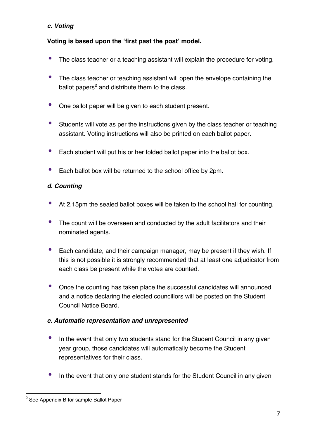#### *c. Voting*

#### **Voting is based upon the 'first past the post' model.**

- The class teacher or a teaching assistant will explain the procedure for voting.
- The class teacher or teaching assistant will open the envelope containing the ballot papers $2$  and distribute them to the class.
- One ballot paper will be given to each student present.
- Students will vote as per the instructions given by the class teacher or teaching assistant. Voting instructions will also be printed on each ballot paper.
- Each student will put his or her folded ballot paper into the ballot box.
- Each ballot box will be returned to the school office by 2pm.

#### *d. Counting*

- At 2.15pm the sealed ballot boxes will be taken to the school hall for counting.
- The count will be overseen and conducted by the adult facilitators and their nominated agents.
- Each candidate, and their campaign manager, may be present if they wish. If this is not possible it is strongly recommended that at least one adjudicator from each class be present while the votes are counted.
- Once the counting has taken place the successful candidates will announced and a notice declaring the elected councillors will be posted on the Student Council Notice Board.

#### *e. Automatic representation and unrepresented*

- In the event that only two students stand for the Student Council in any given year group, those candidates will automatically become the Student representatives for their class.
- In the event that only one student stands for the Student Council in any given

 $\overline{a}$ 

<sup>&</sup>lt;sup>2</sup> See Appendix B for sample Ballot Paper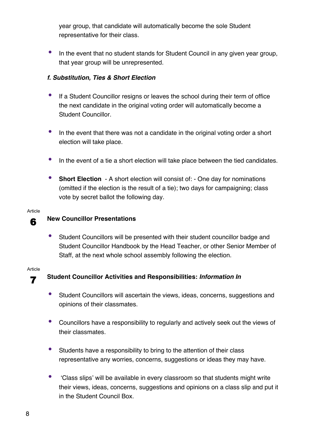year group, that candidate will automatically become the sole Student representative for their class.

• In the event that no student stands for Student Council in any given year group, that year group will be unrepresented.

#### *f. Substitution, Ties & Short Election*

- If a Student Councillor resigns or leaves the school during their term of office the next candidate in the original voting order will automatically become a Student Councillor.
- In the event that there was not a candidate in the original voting order a short election will take place.
- In the event of a tie a short election will take place between the tied candidates.
- **Short Election** A short election will consist of: One day for nominations (omitted if the election is the result of a tie); two days for campaigning; class vote by secret ballot the following day.

#### Article

### 6 **New Councillor Presentations**

• Student Councillors will be presented with their student councillor badge and Student Councillor Handbook by the Head Teacher, or other Senior Member of Staff, at the next whole school assembly following the election.

#### Article

### 7 **Student Councillor Activities and Responsibilities:** *Information In*

- Student Councillors will ascertain the views, ideas, concerns, suggestions and opinions of their classmates.
- Councillors have a responsibility to regularly and actively seek out the views of their classmates.
- Students have a responsibility to bring to the attention of their class representative any worries, concerns, suggestions or ideas they may have.
- 'Class slips' will be available in every classroom so that students might write their views, ideas, concerns, suggestions and opinions on a class slip and put it in the Student Council Box.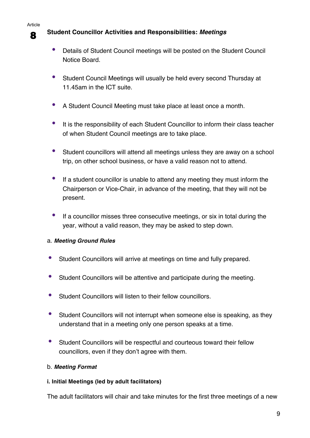### 8 **Student Councillor Activities and Responsibilities:** *Meetings*

- Details of Student Council meetings will be posted on the Student Council Notice Board.
- Student Council Meetings will usually be held every second Thursday at 11.45am in the ICT suite.
- A Student Council Meeting must take place at least once a month.
- It is the responsibility of each Student Councillor to inform their class teacher of when Student Council meetings are to take place.
- Student councillors will attend all meetings unless they are away on a school trip, on other school business, or have a valid reason not to attend.
- If a student councillor is unable to attend any meeting they must inform the Chairperson or Vice-Chair, in advance of the meeting, that they will not be present.
- If a councillor misses three consecutive meetings, or six in total during the year, without a valid reason, they may be asked to step down.

#### a. *Meeting Ground Rules*

- Student Councillors will arrive at meetings on time and fully prepared.
- Student Councillors will be attentive and participate during the meeting.
- Student Councillors will listen to their fellow councillors.
- Student Councillors will not interrupt when someone else is speaking, as they understand that in a meeting only one person speaks at a time.
- Student Councillors will be respectful and courteous toward their fellow councillors, even if they don't agree with them.

#### b. *Meeting Format*

#### **i. Initial Meetings (led by adult facilitators)**

The adult facilitators will chair and take minutes for the first three meetings of a new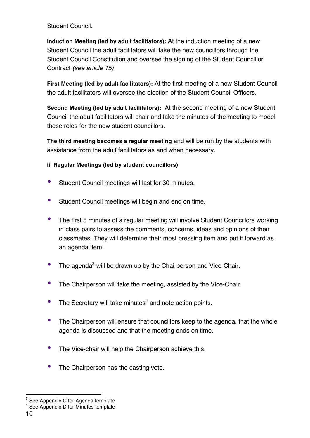Student Council.

**Induction Meeting (led by adult facilitators):** At the induction meeting of a new Student Council the adult facilitators will take the new councillors through the Student Council Constitution and oversee the signing of the Student Councillor Contract *(see article 15)*

**First Meeting (led by adult facilitators):** At the first meeting of a new Student Council the adult facilitators will oversee the election of the Student Council Officers.

**Second Meeting (led by adult facilitators):** At the second meeting of a new Student Council the adult facilitators will chair and take the minutes of the meeting to model these roles for the new student councillors.

**The third meeting becomes a regular meeting** and will be run by the students with assistance from the adult facilitators as and when necessary.

#### **ii. Regular Meetings (led by student councillors)**

- Student Council meetings will last for 30 minutes.
- Student Council meetings will begin and end on time.
- The first 5 minutes of a regular meeting will involve Student Councillors working in class pairs to assess the comments, concerns, ideas and opinions of their classmates. They will determine their most pressing item and put it forward as an agenda item.
- The agenda<sup>3</sup> will be drawn up by the Chairperson and Vice-Chair.
- The Chairperson will take the meeting, assisted by the Vice-Chair.
- The Secretary will take minutes $4$  and note action points.
- The Chairperson will ensure that councillors keep to the agenda, that the whole agenda is discussed and that the meeting ends on time.
- The Vice-chair will help the Chairperson achieve this.
- The Chairperson has the casting vote.

 $3$  See Appendix C for Agenda template

<sup>4</sup> See Appendix D for Minutes template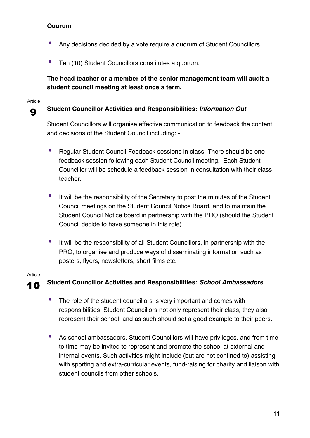#### **Quorum**

- Any decisions decided by a vote require a quorum of Student Councillors.
- Ten (10) Student Councillors constitutes a quorum.

#### **The head teacher or a member of the senior management team will audit a student council meeting at least once a term.**

#### Article

### 9 **Student Councillor Activities and Responsibilities:** *Information Out*

Student Councillors will organise effective communication to feedback the content and decisions of the Student Council including: -

- Regular Student Council Feedback sessions in class. There should be one feedback session following each Student Council meeting. Each Student Councillor will be schedule a feedback session in consultation with their class teacher.
- It will be the responsibility of the Secretary to post the minutes of the Student Council meetings on the Student Council Notice Board, and to maintain the Student Council Notice board in partnership with the PRO (should the Student Council decide to have someone in this role)
- It will be the responsibility of all Student Councillors, in partnership with the PRO, to organise and produce ways of disseminating information such as posters, flyers, newsletters, short films etc.

#### Article

### 10 **Student Councillor Activities and Responsibilities:** *School Ambassadors*

- The role of the student councillors is very important and comes with responsibilities. Student Councillors not only represent their class, they also represent their school, and as such should set a good example to their peers.
- As school ambassadors, Student Councillors will have privileges, and from time to time may be invited to represent and promote the school at external and internal events. Such activities might include (but are not confined to) assisting with sporting and extra-curricular events, fund-raising for charity and liaison with student councils from other schools.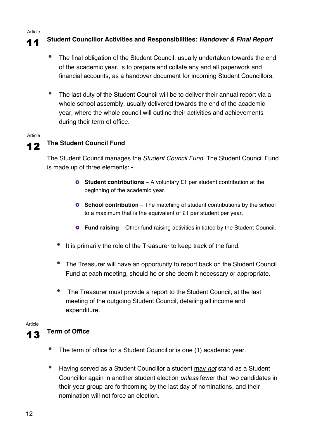### 11 **Student Councillor Activities and Responsibilities:** *Handover & Final Report*

- The final obligation of the Student Council, usually undertaken towards the end of the academic year, is to prepare and collate any and all paperwork and financial accounts, as a handover document for incoming Student Councillors.
- The last duty of the Student Council will be to deliver their annual report via a whole school assembly, usually delivered towards the end of the academic year, where the whole council will outline their activities and achievements during their term of office.

#### Article

### 12 **The Student Council Fund**

The Student Council manages the *Student Council Fund*. The Student Council Fund is made up of three elements: -

- **O** Student contributions A voluntary £1 per student contribution at the beginning of the academic year.
- **o** School contribution The matching of student contributions by the school to a maximum that is the equivalent of £1 per student per year.
- **Fund raising** Other fund raising activities initiated by the Student Council.
- It is primarily the role of the Treasurer to keep track of the fund.
- The Treasurer will have an opportunity to report back on the Student Council Fund at each meeting, should he or she deem it necessary or appropriate.
- The Treasurer must provide a report to the Student Council, at the last meeting of the outgoing Student Council, detailing all income and expenditure.

Article

- 13 **Term of Office**
	- The term of office for a Student Councillor is one (1) academic year.
	- Having served as a Student Councillor a student may *not* stand as a Student Councillor again in another student election *unless* fewer that two candidates in their year group are forthcoming by the last day of nominations, and their nomination will not force an election.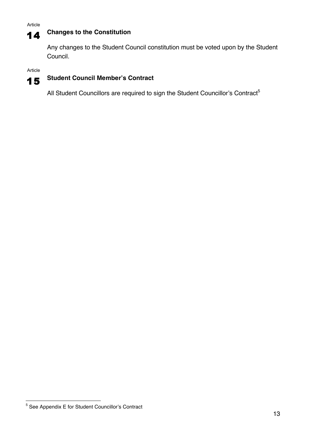### 14 **Changes to the Constitution**

Any changes to the Student Council constitution must be voted upon by the Student Council.

Article



### 15 **Student Council Member's Contract**

All Student Councillors are required to sign the Student Councillor's Contract<sup>5</sup>

<sup>5</sup> See Appendix E for Student Councillor's Contract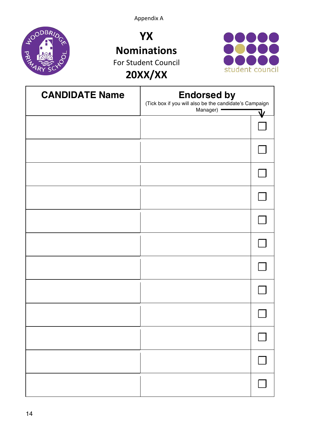Appendix A



**YX Nominations** For Student Council **20XX/XX**



| <b>CANDIDATE Name</b> | <b>Endorsed by</b><br>(Tick box if you will also be the candidate's Campaign<br>Manager)<br>۱ı |  |
|-----------------------|------------------------------------------------------------------------------------------------|--|
|                       |                                                                                                |  |
|                       |                                                                                                |  |
|                       |                                                                                                |  |
|                       |                                                                                                |  |
|                       |                                                                                                |  |
|                       |                                                                                                |  |
|                       |                                                                                                |  |
|                       |                                                                                                |  |
|                       |                                                                                                |  |
|                       |                                                                                                |  |
|                       |                                                                                                |  |
|                       |                                                                                                |  |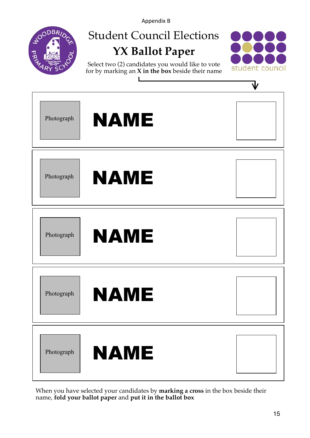Appendix B



## Student Council Elections **YX Ballot Paper**



Select two (2) candidates you would like to vote for by marking an **X in the box** beside their name



When you have selected your candidates by **marking a cross** in the box beside their name, **fold your ballot paper** and **put it in the ballot box**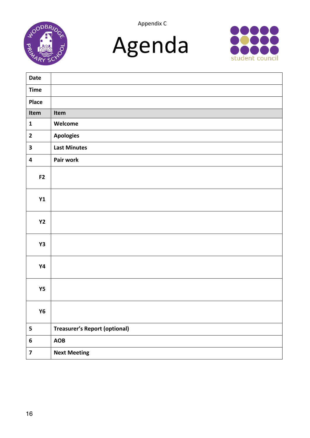







| Date                    |                                      |
|-------------------------|--------------------------------------|
| <b>Time</b>             |                                      |
| <b>Place</b>            |                                      |
| Item                    | Item                                 |
| $\mathbf{1}$            | Welcome                              |
| $\mathbf{2}$            | <b>Apologies</b>                     |
| $\mathbf{3}$            | <b>Last Minutes</b>                  |
| 4                       | Pair work                            |
| F2                      |                                      |
|                         |                                      |
| Y1                      |                                      |
|                         |                                      |
| <b>Y2</b>               |                                      |
| Y3                      |                                      |
|                         |                                      |
| <b>Y4</b>               |                                      |
|                         |                                      |
| <b>Y5</b>               |                                      |
| <b>Y6</b>               |                                      |
|                         |                                      |
| 5                       | <b>Treasurer's Report (optional)</b> |
| 6                       | <b>AOB</b>                           |
| $\overline{\mathbf{z}}$ | <b>Next Meeting</b>                  |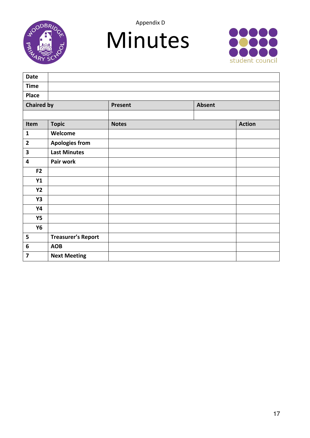

Appendix D





| <b>Date</b>             |                           |              |        |               |
|-------------------------|---------------------------|--------------|--------|---------------|
| <b>Time</b>             |                           |              |        |               |
| Place                   |                           |              |        |               |
| <b>Chaired by</b>       |                           | Present      | Absent |               |
|                         |                           |              |        |               |
| Item                    | <b>Topic</b>              | <b>Notes</b> |        | <b>Action</b> |
| $\mathbf{1}$            | Welcome                   |              |        |               |
| $\overline{\mathbf{2}}$ | <b>Apologies from</b>     |              |        |               |
| $\overline{\mathbf{3}}$ | <b>Last Minutes</b>       |              |        |               |
| $\overline{\mathbf{4}}$ | Pair work                 |              |        |               |
| F <sub>2</sub>          |                           |              |        |               |
| Y1                      |                           |              |        |               |
| <b>Y2</b>               |                           |              |        |               |
| <b>Y3</b>               |                           |              |        |               |
| <b>Y4</b>               |                           |              |        |               |
| <b>Y5</b>               |                           |              |        |               |
| <b>Y6</b>               |                           |              |        |               |
| 5                       | <b>Treasurer's Report</b> |              |        |               |
| $\boldsymbol{6}$        | <b>AOB</b>                |              |        |               |
| $\overline{\mathbf{z}}$ | <b>Next Meeting</b>       |              |        |               |